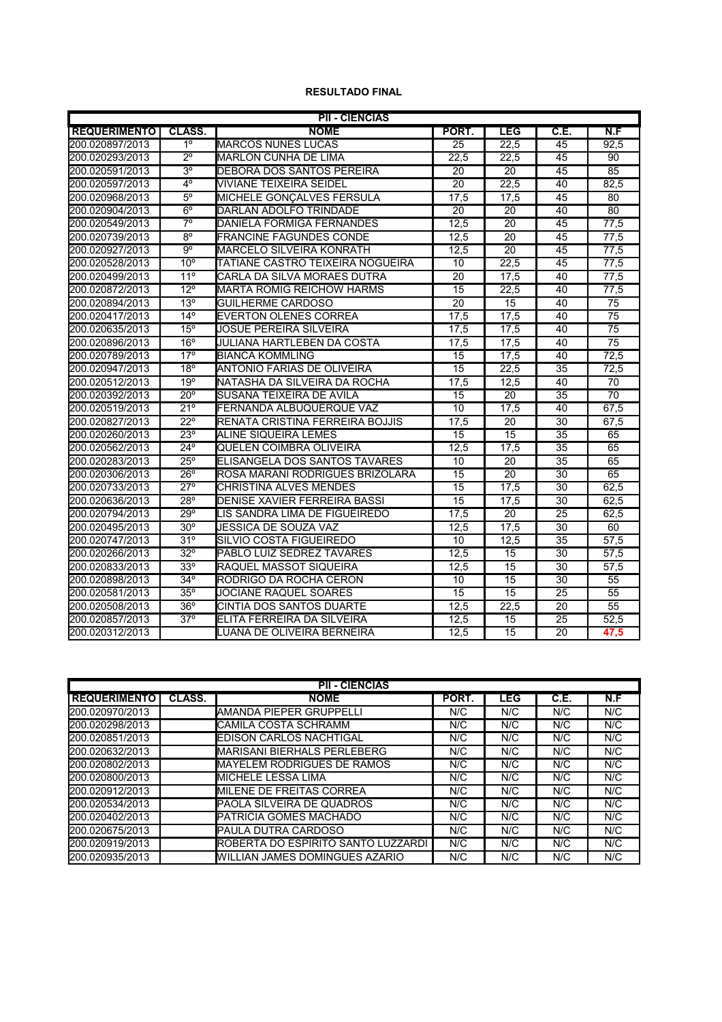## **RESULTADO FINAL**

| <b>PII - CIÊNCIAS</b> |                         |                                  |                 |                 |                 |                 |  |  |  |  |
|-----------------------|-------------------------|----------------------------------|-----------------|-----------------|-----------------|-----------------|--|--|--|--|
| <b>REQUERIMENTO</b>   | CLASS.                  | <b>NOME</b>                      | PORT.           | <b>LEG</b>      | C.E.            | N.F             |  |  |  |  |
| 200.020897/2013       | 1 <sup>°</sup>          | <b>MARCOS NUNES LUCAS</b>        | 25              | 22,5            | 45              | 92,5            |  |  |  |  |
| 200.020293/2013       | $\overline{2^{\circ}}$  | <b>MARLON CUNHA DE LIMA</b>      | 22.5            | 22.5            | 45              | 90              |  |  |  |  |
| 200.020591/2013       | 3 <sup>o</sup>          | DEBORA DOS SANTOS PEREIRA        | 20              | 20              | 45              | 85              |  |  |  |  |
| 200.020597/2013       | $4^{\circ}$             | <b>VIVIANE TEIXEIRA SEIDEL</b>   | $\overline{20}$ | 22,5            | 40              | 82,5            |  |  |  |  |
| 200.020968/2013       | $5^\circ$               | MICHELE GONÇALVES FERSULA        | 17.5            | 17,5            | 45              | 80              |  |  |  |  |
| 200.020904/2013       | $6^{\circ}$             | DARLAN ADOLFO TRINDADE           | $\overline{20}$ | 20              | 40              | 80              |  |  |  |  |
| 200.020549/2013       | $\overline{7^{\circ}}$  | <b>DANIELA FORMIGA FERNANDES</b> | 12,5            | 20              | 45              | 77,5            |  |  |  |  |
| 200.020739/2013       | $8^{\circ}$             | <b>FRANCINE FAGUNDES CONDE</b>   | 12.5            | 20              | 45              | 77,5            |  |  |  |  |
| 200.020927/2013       | $\overline{9^{\circ}}$  | MARCELO SILVEIRA KONRATH         | 12.5            | $\overline{20}$ | 45              | 77.5            |  |  |  |  |
| 200.020528/2013       | $10^{\circ}$            | TATIANE CASTRO TEIXEIRA NOGUEIRA | 10              | 22,5            | 45              | 77,5            |  |  |  |  |
| 200.020499/2013       | 11 <sup>°</sup>         | CARLA DA SILVA MORAES DUTRA      | $\overline{20}$ | 17,5            | 40              | 77,5            |  |  |  |  |
| 200.020872/2013       | $12^{\circ}$            | <b>MARTA ROMIG REICHOW HARMS</b> | 15              | 22,5            | 40              | 77,5            |  |  |  |  |
| 200.020894/2013       | 13°                     | <b>GUILHERME CARDOSO</b>         | 20              | 15              | 40              | 75              |  |  |  |  |
| 200.020417/2013       | $14^{\circ}$            | <b>EVERTON OLENES CORREA</b>     | 17,5            | 17,5            | 40              | $\overline{75}$ |  |  |  |  |
| 200.020635/2013       | $15^{\circ}$            | <b>JOSUE PEREIRA SILVEIRA</b>    | 17,5            | 17,5            | 40              | $\overline{75}$ |  |  |  |  |
| 200.020896/2013       | 16 <sup>o</sup>         | JULIANA HARTLEBEN DA COSTA       | 17,5            | 17,5            | 40              | $\overline{75}$ |  |  |  |  |
| 200.020789/2013       | $17^\circ$              | <b>BIANCA KOMMLING</b>           | 15              | 17,5            | 40              | 72,5            |  |  |  |  |
| 200.020947/2013       | 18°                     | ANTONIO FARIAS DE OLIVEIRA       | 15              | 22,5            | 35              | 72,5            |  |  |  |  |
| 200.020512/2013       | 19°                     | NATASHA DA SILVEIRA DA ROCHA     | 17,5            | 12.5            | 40              | 70              |  |  |  |  |
| 200.020392/2013       | $20^{\circ}$            | SUSANA TEIXEIRA DE AVILA         | 15              | 20              | 35              | 70              |  |  |  |  |
| 200.020519/2013       | 21°                     | FERNANDA ALBUQUERQUE VAZ         | 10              | 17,5            | 40              | 67,5            |  |  |  |  |
| 200.020827/2013       | $22^{\circ}$            | RENATA CRISTINA FERREIRA BOJJIS  | 17,5            | 20              | 30              | 67,5            |  |  |  |  |
| 200.020260/2013       | $23^\circ$              | ALINE SIQUEIRA LEMES             | 15              | 15              | 35              | 65              |  |  |  |  |
| 200.020562/2013       | $24^{\circ}$            | QUELEN COIMBRA OLIVEIRA          | 12.5            | 17,5            | $\overline{35}$ | 65              |  |  |  |  |
| 200.020283/2013       | $25^\circ$              | ELISANGELA DOS SANTOS TAVARES    | 10              | 20              | 35              | 65              |  |  |  |  |
| 200.020306/2013       | $26^{\circ}$            | ROSA MARANI RODRIGUES BRIZOLARA  | 15              | $\overline{20}$ | 30              | 65              |  |  |  |  |
| 200.020733/2013       | $27^\circ$              | <b>CHRISTINA ALVES MENDES</b>    | 15              | 17,5            | 30              | 62.5            |  |  |  |  |
| 200.020636/2013       | $28^{\circ}$            | DENISE XAVIER FERREIRA BASSI     | 15              | 17,5            | 30              | 62,5            |  |  |  |  |
| 200.020794/2013       | $29^\circ$              | LIS SANDRA LIMA DE FIGUEIREDO    | 17,5            | $\overline{20}$ | $\overline{25}$ | 62,5            |  |  |  |  |
| 200.020495/2013       | $30^\circ$              | JESSICA DE SOUZA VAZ             | 12,5            | 17,5            | $\overline{30}$ | 60              |  |  |  |  |
| 200.020747/2013       | $31^\circ$              | SILVIO COSTA FIGUEIREDO          | 10              | 12.5            | 35              | 57.5            |  |  |  |  |
| 200.020266/2013       | $32^\circ$              | PABLO LUIZ SEDREZ TAVARES        | 12,5            | 15              | 30              | 57,5            |  |  |  |  |
| 200.020833/2013       | $33^\circ$              | RAQUEL MASSOT SIQUEIRA           | 12,5            | 15              | 30              | 57,5            |  |  |  |  |
| 200.020898/2013       | $34^\circ$              | RODRIGO DA ROCHA CERON           | 10              | 15              | 30              | 55              |  |  |  |  |
| 200.020581/2013       | $35^\circ$              | JOCIANE RAQUEL SOARES            | 15              | 15              | 25              | 55              |  |  |  |  |
| 200.020508/2013       | $36^\circ$              | CINTIA DOS SANTOS DUARTE         | 12.5            | 22,5            | 20              | 55              |  |  |  |  |
| 200.020857/2013       | $\overline{37^{\circ}}$ | ELITA FERREIRA DA SILVEIRA       | 12.5            | 15              | $\overline{25}$ | 52.5            |  |  |  |  |
| 200.020312/2013       |                         | LUANA DE OLIVEIRA BERNEIRA       | 12,5            | $\overline{15}$ | $\overline{20}$ | 47,5            |  |  |  |  |

| <b>PII - CIÈNCIAS</b> |               |                                            |       |            |      |     |  |  |  |
|-----------------------|---------------|--------------------------------------------|-------|------------|------|-----|--|--|--|
| <b>REQUERIMENTO</b>   | <b>CLASS.</b> | <b>NOME</b>                                | PORT. | <b>LEG</b> | C.E. | N.F |  |  |  |
| 200.020970/2013       |               | <b>IAMANDA PIEPER GRUPPELLI</b>            | N/C   | N/C        | N/C  | N/C |  |  |  |
| 200.020298/2013       |               | ICAMILA COSTA SCHRAMM                      | N/C   | N/C        | N/C  | N/C |  |  |  |
| 200.020851/2013       |               | EDISON CARLOS NACHTIGAL                    | N/C   | N/C        | N/C  | N/C |  |  |  |
| 200.020632/2013       |               | <b>I</b> MARISANI BIERHALS PERLEBERG       | N/C   | N/C        | N/C  | N/C |  |  |  |
| 200.020802/2013       |               | <b>IMAYELEM RODRIGUES DE RAMOS</b>         | N/C   | N/C        | N/C  | N/C |  |  |  |
| 200.020800/2013       |               | <b>I</b> MICHELE LESSA LIMA                | N/C   | N/C        | N/C  | N/C |  |  |  |
| 200.020912/2013       |               | <b>I</b> MILENE DE FREITAS CORREA          | N/C   | N/C        | N/C  | N/C |  |  |  |
| 200.020534/2013       |               | PAOLA SILVEIRA DE QUADROS                  | N/C   | N/C        | N/C  | N/C |  |  |  |
| 200.020402/2013       |               | <b>IPATRICIA GOMES MACHADO</b>             | N/C   | N/C        | N/C  | N/C |  |  |  |
| 200.020675/2013       |               | IPAULA DUTRA CARDOSO                       | N/C   | N/C        | N/C  | N/C |  |  |  |
| 200.020919/2013       |               | <b>IROBERTA DO ESPÍRITO SANTO LUZZARDI</b> | N/C   | N/C        | N/C  | N/C |  |  |  |
| 200.020935/2013       |               | IWILLIAN JAMES DOMINGUES AZARIO            | N/C   | N/C        | N/C  | N/C |  |  |  |